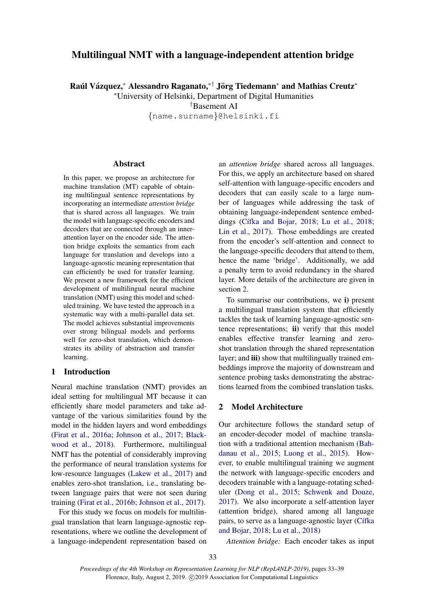# Multilingual NMT with a language-independent attention bridge

Raúl Vázquez,\* Alessandro Raganato,\*† Jörg Tiedemann\* and Mathias Creutz\*

<sup>∗</sup>University of Helsinki, Department of Digital Humanities

†Basement AI

{name.surname}@helsinki.fi

# Abstract

In this paper, we propose an architecture for machine translation (MT) capable of obtaining multilingual sentence representations by incorporating an intermediate *attention bridge* that is shared across all languages. We train the model with language-specific encoders and decoders that are connected through an innerattention layer on the encoder side. The attention bridge exploits the semantics from each language for translation and develops into a language-agnostic meaning representation that can efficiently be used for transfer learning. We present a new framework for the efficient development of multilingual neural machine translation (NMT) using this model and scheduled training. We have tested the approach in a systematic way with a multi-parallel data set. The model achieves substantial improvements over strong bilingual models and performs well for zero-shot translation, which demonstrates its ability of abstraction and transfer learning.

# 1 Introduction

Neural machine translation (NMT) provides an ideal setting for multilingual MT because it can efficiently share model parameters and take advantage of the various similarities found by the model in the hidden layers and word embeddings [\(Firat et al.,](#page-5-0) [2016a;](#page-5-0) [Johnson et al.,](#page-5-1) [2017;](#page-5-1) [Black](#page-4-0)[wood et al.,](#page-4-0) [2018\)](#page-4-0). Furthermore, multilingual NMT has the potential of considerably improving the performance of neural translation systems for low-resource languages [\(Lakew et al.,](#page-5-2) [2017\)](#page-5-2) and enables zero-shot translation, i.e., translating between language pairs that were not seen during training [\(Firat et al.,](#page-5-3) [2016b;](#page-5-3) [Johnson et al.,](#page-5-1) [2017\)](#page-5-1).

For this study we focus on models for multilingual translation that learn language-agnostic representations, where we outline the development of a language-independent representation based on an *attention bridge* shared across all languages. For this, we apply an architecture based on shared self-attention with language-specific encoders and decoders that can easily scale to a large number of languages while addressing the task of obtaining language-independent sentence embed-dings (Cífka and Bojar, [2018;](#page-5-4) [Lu et al.,](#page-5-4) 2018; [Lin et al.,](#page-5-5) [2017\)](#page-5-5). Those embeddings are created from the encoder's self-attention and connect to the language-specific decoders that attend to them, hence the name 'bridge'. Additionally, we add a penalty term to avoid redundancy in the shared layer. More details of the architecture are given in section [2.](#page-0-0)

To summarise our contributions, we i) present a multilingual translation system that efficiently tackles the task of learning language-agnostic sentence representations; ii) verify that this model enables effective transfer learning and zeroshot translation through the shared representation layer; and **iii**) show that multilingually trained embeddings improve the majority of downstream and sentence probing tasks demonstrating the abstractions learned from the combined translation tasks.

### <span id="page-0-0"></span>2 Model Architecture

Our architecture follows the standard setup of an encoder-decoder model of machine translation with a traditional attention mechanism [\(Bah](#page-4-2)[danau et al.,](#page-4-2) [2015;](#page-4-2) [Luong et al.,](#page-5-6) [2015\)](#page-5-6). However, to enable multilingual training we augment the network with language-specific encoders and decoders trainable with a language-rotating scheduler [\(Dong et al.,](#page-5-7) [2015;](#page-5-7) [Schwenk and Douze,](#page-5-8) [2017\)](#page-5-8). We also incorporate a self-attention layer (attention bridge), shared among all language pairs, to serve as a language-agnostic layer (Cífka [and Bojar,](#page-4-1) [2018;](#page-4-1) [Lu et al.,](#page-5-4) [2018\)](#page-5-4)

*Attention bridge:* Each encoder takes as input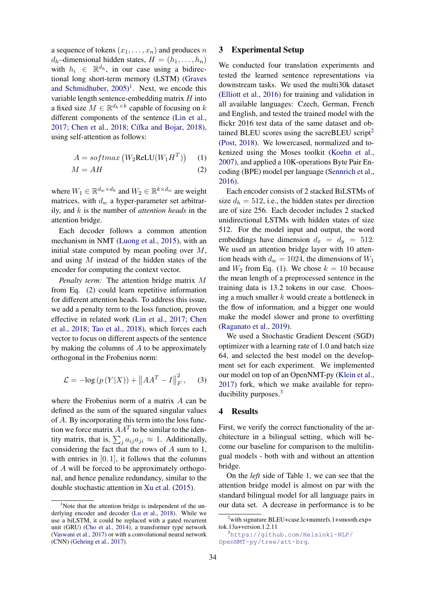a sequence of tokens  $(x_1, \ldots, x_n)$  and produces n  $d_h$ –dimensional hidden states,  $H = (h_1, \ldots, h_n)$ with  $h_i \in \mathbb{R}^{d_h}$ , in our case using a bidirectional long short-term memory (LSTM) [\(Graves](#page-5-9) [and Schmidhuber,](#page-5-9) [2005\)](#page-5-9) [1](#page-1-0) . Next, we encode this variable length sentence-embedding matrix  $H$  into a fixed size  $M \in \mathbb{R}^{d_h \times k}$  capable of focusing on k different components of the sentence [\(Lin et al.,](#page-5-5) [2017;](#page-5-5) [Chen et al.,](#page-4-3) [2018;](#page-4-3) Cífka and Bojar, [2018\)](#page-4-1), using self-attention as follows:

$$
A = softmax (W_2ReLU(W_1H^T)) \quad (1)
$$

$$
M = AH \tag{2}
$$

where  $W_1 \in \mathbb{R}^{d_w \times d_h}$  and  $W_2 \in \mathbb{R}^{k \times d_w}$  are weight matrices, with  $d_w$  a hyper-parameter set arbitrarily, and k is the number of *attention heads* in the attention bridge.

Each decoder follows a common attention mechanism in NMT [\(Luong et al.,](#page-5-6) [2015\)](#page-5-6), with an initial state computed by mean pooling over  $M$ , and using M instead of the hidden states of the encoder for computing the context vector.

*Penalty term:* The attention bridge matrix M from Eq. [\(2\)](#page-1-1) could learn repetitive information for different attention heads. To address this issue, we add a penalty term to the loss function, proven effective in related work [\(Lin et al.,](#page-5-5) [2017;](#page-5-5) [Chen](#page-4-3) [et al.,](#page-4-3) [2018;](#page-4-3) [Tao et al.,](#page-6-0) [2018\)](#page-6-0), which forces each vector to focus on different aspects of the sentence by making the columns of A to be approximately orthogonal in the Frobenius norm:

$$
\mathcal{L} = -\log (p(Y|X)) + ||AA^T - I||_F^2, \quad (3)
$$

where the Frobenius norm of a matrix A can be defined as the sum of the squared singular values of A. By incorporating this term into the loss function we force matrix  $AA<sup>T</sup>$  to be similar to the identity matrix, that is,  $\sum_j a_{ij} a_{ji} \approx 1$ . Additionally, considering the fact that the rows of A sum to 1, with entries in  $[0, 1]$ , it follows that the columns of A will be forced to be approximately orthogonal, and hence penalize redundancy, similar to the double stochastic attention in [Xu et al.](#page-6-1) [\(2015\)](#page-6-1).

### 3 Experimental Setup

We conducted four translation experiments and tested the learned sentence representations via downstream tasks. We used the multi30k dataset [\(Elliott et al.,](#page-5-11) [2016\)](#page-5-11) for training and validation in all available languages: Czech, German, French and English, and tested the trained model with the flickr 2016 test data of the same dataset and ob-tained BLEU scores using the sacreBLEU script<sup>[2](#page-1-2)</sup> [\(Post,](#page-5-12) [2018\)](#page-5-12). We lowercased, normalized and tokenized using the Moses toolkit [\(Koehn et al.,](#page-5-13) [2007\)](#page-5-13), and applied a 10K-operations Byte Pair Encoding (BPE) model per language [\(Sennrich et al.,](#page-5-14) [2016\)](#page-5-14).

<span id="page-1-3"></span><span id="page-1-1"></span>Each encoder consists of 2 stacked BiLSTMs of size  $d_h = 512$ , i.e., the hidden states per direction are of size 256. Each decoder includes 2 stacked unidirectional LSTMs with hidden states of size 512. For the model input and output, the word embeddings have dimension  $d_x = d_y = 512$ . We used an attention bridge layer with 10 attention heads with  $d_w = 1024$ , the dimensions of  $W_1$ and  $W_2$  from Eq. [\(1\)](#page-1-3). We chose  $k = 10$  because the mean length of a preprocessed sentence in the training data is 13.2 tokens in our case. Choosing a much smaller  $k$  would create a bottleneck in the flow of information, and a bigger one would make the model slower and prone to overfitting [\(Raganato et al.,](#page-5-15) [2019\)](#page-5-15).

<span id="page-1-5"></span>We used a Stochastic Gradient Descent (SGD) optimizer with a learning rate of 1.0 and batch size 64, and selected the best model on the development set for each experiment. We implemented our model on top of an OpenNMT-py [\(Klein et al.,](#page-5-16) [2017\)](#page-5-16) fork, which we make available for reproducibility purposes.[3](#page-1-4)

### 4 Results

First, we verify the correct functionality of the architecture in a bilingual setting, which will become our baseline for comparison to the multilingual models - both with and without an attention bridge.

On the *left* side of Table [1,](#page-2-0) we can see that the attention bridge model is almost on par with the standard bilingual model for all language pairs in our data set. A decrease in performance is to be

<span id="page-1-0"></span><sup>&</sup>lt;sup>1</sup>Note that the attention bridge is independent of the underlying encoder and decoder [\(Lu et al.,](#page-5-4) [2018\)](#page-5-4). While we use a biLSTM, it could be replaced with a gated recurrent unit (GRU) [\(Cho et al.,](#page-4-4) [2014\)](#page-4-4), a transformer type network [\(Vaswani et al.,](#page-6-2) [2017\)](#page-6-2) or with a convolutional neural network (CNN) [\(Gehring et al.,](#page-5-10) [2017\)](#page-5-10).

<span id="page-1-2"></span><sup>&</sup>lt;sup>2</sup>with signature BLEU+case.lc+numrefs.1+smooth.exp+ tok.13a+version.1.2.11

<span id="page-1-4"></span><sup>3</sup>[https://github.com/Helsinki-NLP/](https://github.com/Helsinki-NLP/OpenNMT-py/tree/att-brg) [OpenNMT-py/tree/att-brg](https://github.com/Helsinki-NLP/OpenNMT-py/tree/att-brg).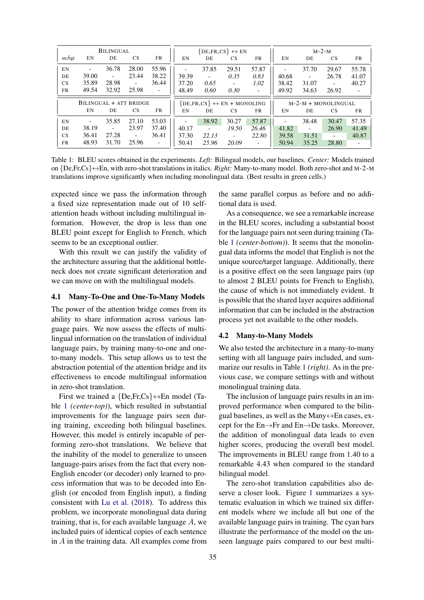<span id="page-2-0"></span>

| <b>BILINGUAL</b>       |                          |                          | $\{DE, FR, CS\} \leftrightarrow EN$ |                                                |                          | $M-2-M$                  |                       |                          |                          |                          |                          |                          |
|------------------------|--------------------------|--------------------------|-------------------------------------|------------------------------------------------|--------------------------|--------------------------|-----------------------|--------------------------|--------------------------|--------------------------|--------------------------|--------------------------|
| src/tgt                | EN                       | DE                       | <b>CS</b>                           | FR                                             | EN                       | DE                       | <b>CS</b>             | FR                       | EN                       | DE                       | <b>CS</b>                | FR                       |
| EN                     |                          | 36.78                    | 28.00                               | 55.96                                          | $\overline{\phantom{a}}$ | 37.85                    | 29.51                 | 57.87                    | $\overline{\phantom{0}}$ | 37.70                    | 29.67                    | 55.78                    |
| DE                     | 39.00                    | $\overline{\phantom{a}}$ | 23.44                               | 38.22                                          | 39.39                    | $\overline{\phantom{a}}$ | 0.35                  | 0.83                     | 40.68                    | $\overline{\phantom{a}}$ | 26.78                    | 41.07                    |
| <b>CS</b>              | 35.89                    | 28.98                    | $\overline{\phantom{a}}$            | 36.44                                          | 37.20                    | 0.65                     | $\sim$                | 1.02                     | 38.42                    | 31.07                    | $\overline{\phantom{a}}$ | 40.27                    |
| FR                     | 49.54                    | 32.92                    | 25.98                               | $\overline{\phantom{a}}$                       | 48.49                    | 0.60                     | 0.30                  | $\overline{\phantom{a}}$ | 49.92                    | 34.63                    | 26.92                    | $\blacksquare$           |
| BILINGUAL + ATT BRIDGE |                          |                          |                                     | $\{DE, FR, CS\} \leftrightarrow EN + MONOLING$ |                          |                          | $M-2-M + MONOLINGUAL$ |                          |                          |                          |                          |                          |
|                        | EN                       | DE                       | <b>CS</b>                           | FR                                             | EN                       | DE                       | <b>CS</b>             | FR                       | EN                       | DE                       | <b>CS</b>                | FR                       |
| EN                     | $\overline{\phantom{a}}$ | 35.85                    | 27.10                               | 53.03                                          |                          | 38.92                    | 30.27                 | 57.87                    | $\overline{\phantom{a}}$ | 38.48                    | 30.47                    | 57.35                    |
| DE                     | 38.19                    | $\overline{\phantom{a}}$ | 23.97                               | 37.40                                          | 40.17                    | $\overline{\phantom{a}}$ | 19.50                 | 26.46                    | 41.82                    | $\overline{\phantom{a}}$ | 26.90                    | 41.49                    |
| CS                     | 36.41                    | 27.28                    | $\overline{\phantom{a}}$            | 36.41                                          | 37.30                    | 22.13                    | $\bar{a}$             | 22.80                    | 39.58                    | 31.51                    | $\overline{\phantom{a}}$ | 40.87                    |
| FR.                    | 48.93                    | 31.70                    | 25.96                               | $\overline{\phantom{a}}$                       | 50.41                    | 25.96                    | 20.09                 | $\overline{\phantom{a}}$ | 50.94                    | 35.25                    | 28.80                    | $\overline{\phantom{a}}$ |

Table 1: BLEU scores obtained in the experiments. *Left:* Bilingual models, our baselines. *Center:* Models trained on {De,Fr,Cs}↔En, with zero-shot translations in italics. *Right:* Many-to-many model. Both zero-shot and M-2-M translations improve significantly when including monolingual data. (Best results in green cells.)

expected since we pass the information through a fixed size representation made out of 10 selfattention heads without including multilingual information. However, the drop is less than one BLEU point except for English to French, which seems to be an exceptional outlier.

With this result we can justify the validity of the architecture assuring that the additional bottleneck does not create significant deterioration and we can move on with the multilingual models.

### 4.1 Many-To-One and One-To-Many Models

The power of the attention bridge comes from its ability to share information across various language pairs. We now assess the effects of multilingual information on the translation of individual language pairs, by training many-to-one and oneto-many models. This setup allows us to test the abstraction potential of the attention bridge and its effectiveness to encode multilingual information in zero-shot translation.

First we trained a  ${De,Fr,Cs} \leftrightarrow En$  model (Table [1](#page-2-0) *(center-top)*), which resulted in substantial improvements for the language pairs seen during training, exceeding both bilingual baselines. However, this model is entirely incapable of performing zero-shot translations. We believe that the inability of the model to generalize to unseen language-pairs arises from the fact that every non-English encoder (or decoder) only learned to process information that was to be decoded into English (or encoded from English input), a finding consistent with [Lu et al.](#page-5-4) [\(2018\)](#page-5-4). To address this problem, we incorporate monolingual data during training, that is, for each available language  $A$ , we included pairs of identical copies of each sentence in A in the training data. All examples come from

the same parallel corpus as before and no additional data is used.

As a consequence, we see a remarkable increase in the BLEU scores, including a substantial boost for the language pairs not seen during training (Table [1](#page-2-0) *(center-bottom)*). It seems that the monolingual data informs the model that English is not the unique source/target language. Additionally, there is a positive effect on the seen language pairs (up to almost 2 BLEU points for French to English), the cause of which is not immediately evident. It is possible that the shared layer acquires additional information that can be included in the abstraction process yet not available to the other models.

#### 4.2 Many-to-Many Models

We also tested the architecture in a many-to-many setting with all language pairs included, and summarize our results in Table [1](#page-2-0) *(right)*. As in the previous case, we compare settings with and without monolingual training data.

The inclusion of language pairs results in an improved performance when compared to the bilingual baselines, as well as the Many $\leftrightarrow$ En cases, except for the En→Fr and En→De tasks. Moreover, the addition of monolingual data leads to even higher scores, producing the overall best model. The improvements in BLEU range from 1.40 to a remarkable 4.43 when compared to the standard bilingual model.

The zero-shot translation capabilities also deserve a closer look. Figure [1](#page-3-0) summarizes a systematic evaluation in which we trained six different models where we include all but one of the available language pairs in training. The cyan bars illustrate the performance of the model on the unseen language pairs compared to our best multi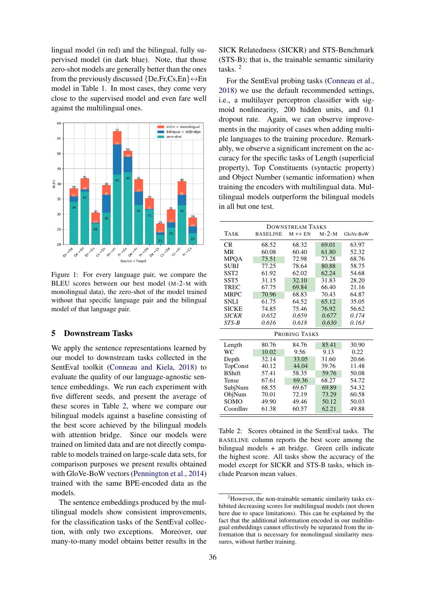lingual model (in red) and the bilingual, fully supervised model (in dark blue). Note, that those zero-shot models are generally better than the ones from the previously discussed  $\{De, Fr, Cs, En\} \leftrightarrow En$ model in Table [1.](#page-2-0) In most cases, they come very close to the supervised model and even fare well against the multilingual ones.

<span id="page-3-0"></span>

Figure 1: For every language pair, we compare the BLEU scores between our best model (M-2-M with monolingual data), the zero-shot of the model trained without that specific language pair and the bilingual model of that language pair.

# 5 Downstream Tasks

We apply the sentence representations learned by our model to downstream tasks collected in the SentEval toolkit [\(Conneau and Kiela,](#page-5-17) [2018\)](#page-5-17) to evaluate the quality of our language-agnostic sentence embeddings. We run each experiment with five different seeds, and present the average of these scores in Table [2,](#page-3-1) where we compare our bilingual models against a baseline consisting of the best score achieved by the bilingual models with attention bridge. Since our models were trained on limited data and are not directly comparable to models trained on large-scale data sets, for comparison purposes we present results obtained with GloVe-BoW vectors [\(Pennington et al.,](#page-5-18) [2014\)](#page-5-18) trained with the same BPE-encoded data as the models.

The sentence embeddings produced by the multilingual models show consistent improvements, for the classification tasks of the SentEval collection, with only two exceptions. Moreover, our many-to-many model obtains better results in the

SICK Relatedness (SICKR) and STS-Benchmark (STS-B); that is, the trainable semantic similarity tasks. [2](#page-3-2)

For the SentEval probing tasks [\(Conneau et al.,](#page-5-19) [2018\)](#page-5-19) we use the default recommended settings, i.e., a multilayer perceptron classifier with sigmoid nonlinearity, 200 hidden units, and 0.1 dropout rate. Again, we can observe improvements in the majority of cases when adding multiple languages to the training procedure. Remarkably, we observe a significant increment on the accuracy for the specific tasks of Length (superficial property), Top Constituents (syntactic property) and Object Number (semantic information) when training the encoders with multilingual data. Multilingual models outperform the bilingual models in all but one test.

<span id="page-3-1"></span>

| DOWNSTREAM TASKS |                 |                        |         |           |  |  |  |
|------------------|-----------------|------------------------|---------|-----------|--|--|--|
| <b>TASK</b>      | <b>BASELINE</b> | $M \leftrightarrow EN$ | $M-2-M$ | GloVe-BoW |  |  |  |
| CR               | 68.52           | 68.32                  | 69.01   | 63.97     |  |  |  |
| MR               | 60.08           | 60.40                  | 61.80   | 52.32     |  |  |  |
| <b>MPQA</b>      | 73.51           | 72.98                  | 73.28   | 68.76     |  |  |  |
| <b>SUBJ</b>      | 77.25           | 78.64                  | 80.88   | 58.75     |  |  |  |
| SST <sub>2</sub> | 61.92           | 62.02                  | 62.24   | 54.68     |  |  |  |
| SST <sub>5</sub> | 31.15           | 32.10                  | 31.83   | 28.20     |  |  |  |
| <b>TREC</b>      | 67.75           | 69.84                  | 66.40   | 21.16     |  |  |  |
| <b>MRPC</b>      | 70.96           | 68.83                  | 70.43   | 64.87     |  |  |  |
| <b>SNLI</b>      | 61.75           | 64.52                  | 65.12   | 35.05     |  |  |  |
| <b>SICKE</b>     | 74.85           | 75.46                  | 76.92   | 56.62     |  |  |  |
| <b>SICKR</b>     | 0.652           | 0.659                  | 0.677   | 0.174     |  |  |  |
| $STS-B$          | 0.616           | 0.618                  | 0.630   | 0.163     |  |  |  |
| PROBING TASKS    |                 |                        |         |           |  |  |  |
| Length           | 80.76           | 84.76                  | 85.41   | 30.90     |  |  |  |
| WС               | 10.02           | 9.56                   | 9.13    | 0.22      |  |  |  |
| Depth            | 32.14           | 33.05                  | 31.60   | 20.66     |  |  |  |
| TopConst         | 40.12           | 44.04                  | 39.76   | 11.48     |  |  |  |
| <b>B</b> Shift   | 57.41           | 58.35                  | 59.76   | 50.08     |  |  |  |
| Tense            | 67.61           | 69.36                  | 68.27   | 54.72     |  |  |  |
| SubjNum          | 68.55           | 69.67                  | 69.89   | 54.32     |  |  |  |
| ObjNum           | 70.01           | 72.19                  | 73.29   | 60.58     |  |  |  |
| <b>SOMO</b>      | 49.90           | 49.46                  | 50.12   | 50.03     |  |  |  |
| CoordInv         | 61.38           | 60.57                  | 62.21   | 49.88     |  |  |  |

Table 2: Scores obtained in the SentEval tasks. The BASELINE column reports the best score among the bilingual models + att bridge. Green cells indicate the highest score. All tasks show the accuracy of the model except for SICKR and STS-B tasks, which include Pearson mean values.

<span id="page-3-2"></span><sup>&</sup>lt;sup>2</sup>However, the non-trainable semantic similarity tasks exhibited decreasing scores for multilingual models (not shown here due to space limitations). This can be explained by the fact that the additional information encoded in our multilingual embeddings cannot effectively be separated from the information that is necessary for monolingual similarity measures, without further training.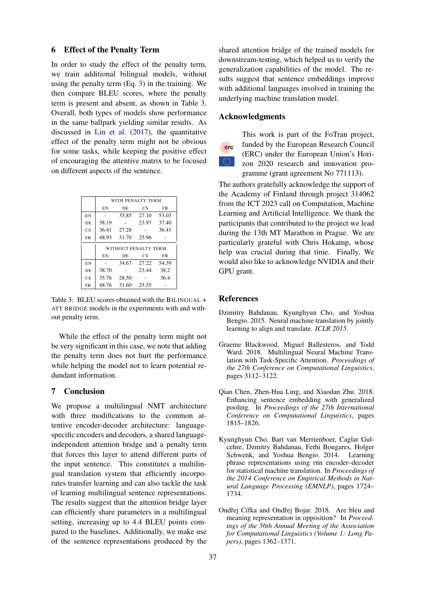### 6 Effect of the Penalty Term

In order to study the effect of the penalty term, we train additional bilingual models, without using the penalty term (Eq. [3\)](#page-1-5) in the training. We then compare BLEU scores, where the penalty term is present and absent, as shown in Table [3.](#page-4-5) Overall, both types of models show performance in the same ballpark yielding similar results. As discussed in [Lin et al.](#page-5-5) [\(2017\)](#page-5-5), the quantitative effect of the penalty term might not be obvious for some tasks, while keeping the positive effect of encouraging the attentive matrix to be focused on different aspects of the sentence.

<span id="page-4-5"></span>

|                        | WITH PENALTY TERM    |       |       |       |  |  |  |
|------------------------|----------------------|-------|-------|-------|--|--|--|
|                        | EΝ                   | DE    | CS    | FR    |  |  |  |
| EN                     |                      | 35.85 | 27.10 | 53.03 |  |  |  |
| DE.                    | 38.19                |       | 23.97 | 37.40 |  |  |  |
| CS                     | 36.41                | 27.28 |       | 36.41 |  |  |  |
| FR                     | 48.93                | 31.70 | 25.96 |       |  |  |  |
|                        | WITHOUT PENALTY TERM |       |       |       |  |  |  |
|                        | EΝ                   | DE    | CS    | FR    |  |  |  |
| EN                     |                      | 34.67 | 27.22 | 54.39 |  |  |  |
| DE.                    | 38.70                |       | 23.44 | 38.2  |  |  |  |
| $\overline{\text{CS}}$ | 35.76                | 28.50 |       | 36.4  |  |  |  |
| FR                     | 48.76                | 31.60 | 25.55 |       |  |  |  |

Table 3: BLEU scores obtained with the BILINGUAL + ATT BRIDGE models in the experiments with and without penalty term.

While the effect of the penalty term might not be very significant in this case, we note that adding the penalty term does not hurt the performance while helping the model not to learn potential redundant information.

# 7 Conclusion

We propose a multilingual NMT architecture with three modifications to the common attentive encoder-decoder architecture: languagespecific encoders and decoders, a shared languageindependent attention bridge and a penalty term that forces this layer to attend different parts of the input sentence. This constitutes a multilingual translation system that efficiently incorporates transfer learning and can also tackle the task of learning multilingual sentence representations. The results suggest that the attention bridge layer can efficiently share parameters in a multilingual setting, increasing up to 4.4 BLEU points compared to the baselines. Additionally, we make use of the sentence representations produced by the

shared attention bridge of the trained models for downstream-testing, which helped us to verify the generalization capabilities of the model. The results suggest that sentence embeddings improve with additional languages involved in training the underlying machine translation model.

# Acknowledgments

erc

This work is part of the FoTran project, funded by the European Research Council (ERC) under the European Union's Horizon 2020 research and innovation programme (grant agreement No 771113).

The authors gratefully acknowledge the support of the Academy of Finland through project 314062 from the ICT 2023 call on Computation, Machine Learning and Artificial Intelligence. We thank the participants that contributed to the project we lead during the 13th MT Marathon in Prague. We are particularly grateful with Chris Hokamp, whose help was crucial during that time. Finally, We would also like to acknowledge NVIDIA and their GPU grant.

# **References**

- <span id="page-4-2"></span>Dzimitry Bahdanau, Kyunghyun Cho, and Yoshua Bengio. 2015. Neural machine translation by jointly learning to align and translate. *ICLR 2015*.
- <span id="page-4-0"></span>Graeme Blackwood, Miguel Ballesteros, and Todd Ward. 2018. Multilingual Neural Machine Translation with Task-Specific Attention. *Proceedings of the 27th Conference on Computational Linguistics*, pages 3112–3122.
- <span id="page-4-3"></span>Qian Chen, Zhen-Hua Ling, and Xiaodan Zhu. 2018. Enhancing sentence embedding with generalized pooling. In *Proceedings of the 27th International Conference on Computational Linguistics*, pages 1815–1826.
- <span id="page-4-4"></span>Kyunghyun Cho, Bart van Merrienboer, Caglar Gulcehre, Dzmitry Bahdanau, Fethi Bougares, Holger Schwenk, and Yoshua Bengio. 2014. Learning phrase representations using rnn encoder–decoder for statistical machine translation. In *Proceedings of the 2014 Conference on Empirical Methods in Natural Language Processing (EMNLP)*, pages 1724– 1734.
- <span id="page-4-1"></span>Ondřej Cífka and Ondřej Bojar. 2018. Are bleu and meaning representation in opposition? In *Proceedings of the 56th Annual Meeting of the Association for Computational Linguistics (Volume 1: Long Papers)*, pages 1362–1371.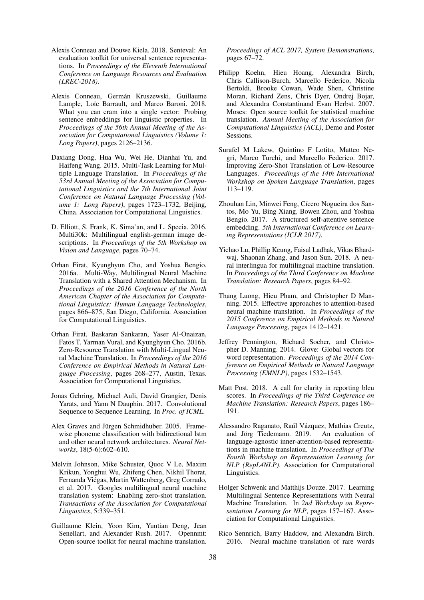- <span id="page-5-17"></span>Alexis Conneau and Douwe Kiela. 2018. Senteval: An evaluation toolkit for universal sentence representations. In *Proceedings of the Eleventh International Conference on Language Resources and Evaluation (LREC-2018)*.
- <span id="page-5-19"></span>Alexis Conneau, Germán Kruszewski, Guillaume Lample, Loïc Barrault, and Marco Baroni. 2018. What you can cram into a single vector: Probing sentence embeddings for linguistic properties. In *Proceedings of the 56th Annual Meeting of the Association for Computational Linguistics (Volume 1: Long Papers)*, pages 2126–2136.
- <span id="page-5-7"></span>Daxiang Dong, Hua Wu, Wei He, Dianhai Yu, and Haifeng Wang. 2015. Multi-Task Learning for Multiple Language Translation. In *Proceedings of the 53rd Annual Meeting of the Association for Computational Linguistics and the 7th International Joint Conference on Natural Language Processing (Volume 1: Long Papers)*, pages 1723–1732, Beijing, China. Association for Computational Linguistics.
- <span id="page-5-11"></span>D. Elliott, S. Frank, K. Sima'an, and L. Specia. 2016. Multi30k: Multilingual english-german image descriptions. In *Proceedings of the 5th Workshop on Vision and Language*, pages 70–74.
- <span id="page-5-0"></span>Orhan Firat, Kyunghyun Cho, and Yoshua Bengio. 2016a. Multi-Way, Multilingual Neural Machine Translation with a Shared Attention Mechanism. In *Proceedings of the 2016 Conference of the North American Chapter of the Association for Computational Linguistics: Human Language Technologies*, pages 866–875, San Diego, California. Association for Computational Linguistics.
- <span id="page-5-3"></span>Orhan Firat, Baskaran Sankaran, Yaser Al-Onaizan, Fatos T. Yarman Vural, and Kyunghyun Cho. 2016b. Zero-Resource Translation with Multi-Lingual Neural Machine Translation. In *Proceedings of the 2016 Conference on Empirical Methods in Natural Language Processing*, pages 268–277, Austin, Texas. Association for Computational Linguistics.
- <span id="page-5-10"></span>Jonas Gehring, Michael Auli, David Grangier, Denis Yarats, and Yann N Dauphin. 2017. Convolutional Sequence to Sequence Learning. In *Proc. of ICML*.
- <span id="page-5-9"></span>Alex Graves and Jürgen Schmidhuber. 2005. Framewise phoneme classification with bidirectional lstm and other neural network architectures. *Neural Networks*, 18(5-6):602–610.
- <span id="page-5-1"></span>Melvin Johnson, Mike Schuster, Quoc V Le, Maxim Krikun, Yonghui Wu, Zhifeng Chen, Nikhil Thorat, Fernanda Viegas, Martin Wattenberg, Greg Corrado, ´ et al. 2017. Googles multilingual neural machine translation system: Enabling zero-shot translation. *Transactions of the Association for Computational Linguistics*, 5:339–351.
- <span id="page-5-16"></span>Guillaume Klein, Yoon Kim, Yuntian Deng, Jean Senellart, and Alexander Rush. 2017. Opennmt: Open-source toolkit for neural machine translation.

*Proceedings of ACL 2017, System Demonstrations*, pages 67–72.

- <span id="page-5-13"></span>Philipp Koehn, Hieu Hoang, Alexandra Birch, Chris Callison-Burch, Marcello Federico, Nicola Bertoldi, Brooke Cowan, Wade Shen, Christine Moran, Richard Zens, Chris Dyer, Ondrej Bojar, and Alexandra Constantinand Evan Herbst. 2007. Moses: Open source toolkit for statistical machine translation. *Annual Meeting of the Association for Computational Linguistics (ACL)*, Demo and Poster Sessions.
- <span id="page-5-2"></span>Surafel M Lakew, Quintino F Lotito, Matteo Negri, Marco Turchi, and Marcello Federico. 2017. Improving Zero-Shot Translation of Low-Resource Languages. *Proceedings of the 14th International Workshop on Spoken Language Translation*, pages 113–119.
- <span id="page-5-5"></span>Zhouhan Lin, Minwei Feng, Cícero Nogueira dos Santos, Mo Yu, Bing Xiang, Bowen Zhou, and Yoshua Bengio. 2017. A structured self-attentive sentence embedding. *5th International Conference on Learning Representations (ICLR 2017)*.
- <span id="page-5-4"></span>Yichao Lu, Phillip Keung, Faisal Ladhak, Vikas Bhardwaj, Shaonan Zhang, and Jason Sun. 2018. A neural interlingua for multilingual machine translation. In *Proceedings of the Third Conference on Machine Translation: Research Papers*, pages 84–92.
- <span id="page-5-6"></span>Thang Luong, Hieu Pham, and Christopher D Manning. 2015. Effective approaches to attention-based neural machine translation. In *Proceedings of the 2015 Conference on Empirical Methods in Natural Language Processing*, pages 1412–1421.
- <span id="page-5-18"></span>Jeffrey Pennington, Richard Socher, and Christopher D. Manning. 2014. Glove: Global vectors for word representation. *Proceedings of the 2014 Conference on Empirical Methods in Natural Language Processing (EMNLP)*, pages 1532–1543.
- <span id="page-5-12"></span>Matt Post. 2018. A call for clarity in reporting bleu scores. In *Proceedings of the Third Conference on Machine Translation: Research Papers*, pages 186– 191.
- <span id="page-5-15"></span>Alessandro Raganato, Raúl Vázquez, Mathias Creutz, and Jörg Tiedemann. 2019. An evaluation of language-agnostic inner-attention-based representations in machine translation. In *Proceedings of The Fourth Workshop on Representation Learning for NLP (RepL4NLP)*. Association for Computational Linguistics.
- <span id="page-5-8"></span>Holger Schwenk and Matthijs Douze. 2017. Learning Multilingual Sentence Representations with Neural Machine Translation. In *2nd Workshop on Representation Learning for NLP*, pages 157–167. Association for Computational Linguistics.
- <span id="page-5-14"></span>Rico Sennrich, Barry Haddow, and Alexandra Birch. 2016. Neural machine translation of rare words